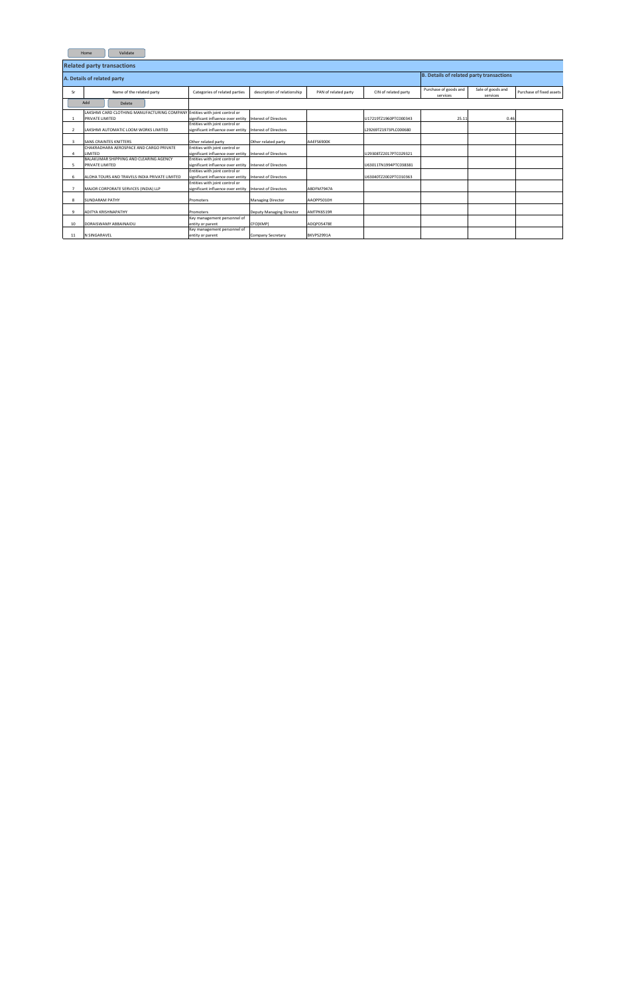| Validate<br>Home |                                                                                                      |                                                                                           |                             |                      |                       |                                   |                               |                          |  |  |  |  |  |  |
|------------------|------------------------------------------------------------------------------------------------------|-------------------------------------------------------------------------------------------|-----------------------------|----------------------|-----------------------|-----------------------------------|-------------------------------|--------------------------|--|--|--|--|--|--|
|                  | <b>Related party transactions</b>                                                                    |                                                                                           |                             |                      |                       |                                   |                               |                          |  |  |  |  |  |  |
|                  | A. Details of related party                                                                          | <b>B. Details of related party transactions</b>                                           |                             |                      |                       |                                   |                               |                          |  |  |  |  |  |  |
| Sr               | Name of the related party                                                                            | Categories of related parties                                                             | description of relationship | PAN of related party | CIN of related party  | Purchase of goods and<br>services | Sale of goods and<br>services | Purchase of fixed assets |  |  |  |  |  |  |
|                  | Add<br>Delete                                                                                        |                                                                                           |                             |                      |                       |                                   |                               |                          |  |  |  |  |  |  |
|                  | LAKSHMI CARD CLOTHING MANUFACTURING COMPANY Entities with joint control or<br><b>PRIVATE LIMITED</b> | significant influence over entity Interest of Directors                                   |                             |                      | U17219TZ1960PTC000343 | 25.11                             | 0.46                          |                          |  |  |  |  |  |  |
|                  | LAKSHMI AUTOMATIC LOOM WORKS LIMITED                                                                 | Entities with joint control or<br>significant influence over entity Interest of Directors |                             |                      | L29269TZ1973PLC000680 |                                   |                               |                          |  |  |  |  |  |  |
| 3                | <b>SANS CRAINTES KNITTERS</b>                                                                        | Other related party                                                                       | Other related party         | AAEFS6900K           |                       |                                   |                               |                          |  |  |  |  |  |  |
|                  | CHAKRADHARA AEROSPACE AND CARGO PRIVATE<br><b>LIMITED</b>                                            | Entities with joint control or<br>significant influence over entity Interest of Directors |                             |                      | U29308TZ2017PTC029321 |                                   |                               |                          |  |  |  |  |  |  |
| 5                | BALAKUMAR SHIPPIING AND CLEARING AGENCY<br><b>PRIVATE LIMITED</b>                                    | Entities with joint control or<br>significant influence over entity Interest of Directors |                             |                      | U63011TN1994PTC038381 |                                   |                               |                          |  |  |  |  |  |  |
| 6                | ALOHA TOURS AND TRAVELS INDIA PRIVATE LIMITED                                                        | Entities with joint control or<br>significant influence over entity Interest of Directors |                             |                      | U63040TZ2002PTC010363 |                                   |                               |                          |  |  |  |  |  |  |
|                  | MAJOR CORPORATE SERVICES (INDIA) LLP                                                                 | Entities with joint control or<br>significant influence over entity Interest of Directors |                             | ABDFM7947A           |                       |                                   |                               |                          |  |  |  |  |  |  |
| 8                | <b>SUNDARAM PATHY</b>                                                                                | Promoters                                                                                 | <b>Managing Director</b>    | AAOPP5010H           |                       |                                   |                               |                          |  |  |  |  |  |  |
| 9                | <b>ADITYA KRISHNAPATHY</b>                                                                           | Promoters                                                                                 | Deputy Managing Director    | AMTPK6519R           |                       |                                   |                               |                          |  |  |  |  |  |  |
| 10               | DORAISWAMY ABBAINAIDU                                                                                | Key management personnel of<br>entity or parent                                           | CFO(KMP)                    | ADQPD5478E           |                       |                                   |                               |                          |  |  |  |  |  |  |
| 11               | N SINGARAVEL                                                                                         | Key management personnel of<br>entity or parent                                           | Company Secretary           | BKVPS2991A           |                       |                                   |                               |                          |  |  |  |  |  |  |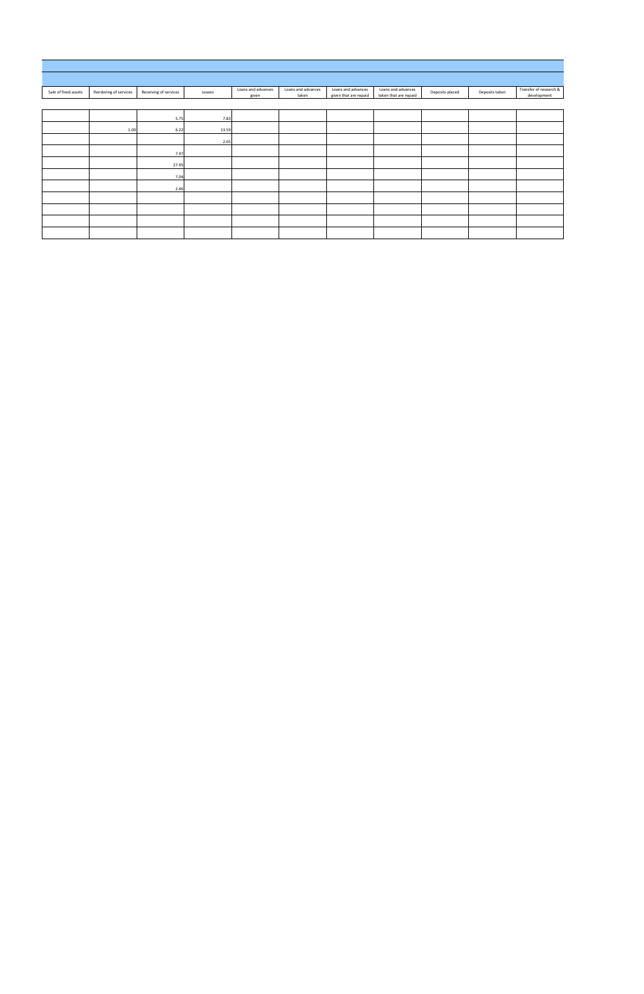| Sale of fixed assets | Rendering of services | Receiving of services | Leases | Loans and advances<br>given | Loans and advances<br>taken | Loans and advances<br>given that are repaid | Loans and advances<br>taken that are repaid | Deposits placed | Deposits taken | Transfer of research &<br>development |
|----------------------|-----------------------|-----------------------|--------|-----------------------------|-----------------------------|---------------------------------------------|---------------------------------------------|-----------------|----------------|---------------------------------------|
|                      |                       |                       |        |                             |                             |                                             |                                             |                 |                |                                       |
|                      |                       | 5.75                  | 7.83   |                             |                             |                                             |                                             |                 |                |                                       |
|                      | 1.00                  | 6.22                  | 13.59  |                             |                             |                                             |                                             |                 |                |                                       |
|                      |                       |                       | 2.05   |                             |                             |                                             |                                             |                 |                |                                       |
|                      |                       | 7.97                  |        |                             |                             |                                             |                                             |                 |                |                                       |
|                      |                       | 27.95                 |        |                             |                             |                                             |                                             |                 |                |                                       |
|                      |                       | 7.04                  |        |                             |                             |                                             |                                             |                 |                |                                       |
|                      |                       | 2.46                  |        |                             |                             |                                             |                                             |                 |                |                                       |
|                      |                       |                       |        |                             |                             |                                             |                                             |                 |                |                                       |
|                      |                       |                       |        |                             |                             |                                             |                                             |                 |                |                                       |
|                      |                       |                       |        |                             |                             |                                             |                                             |                 |                |                                       |
|                      |                       |                       |        |                             |                             |                                             |                                             |                 |                |                                       |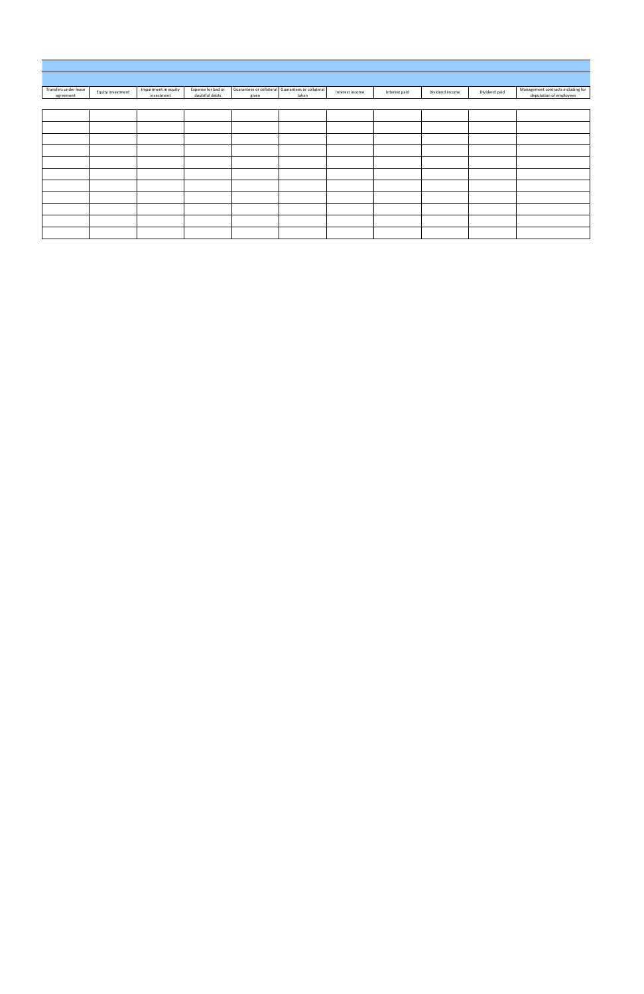| Transfers under lease<br>agreement | Equity investment | Impairment in equity<br>investment | Expense for bad or<br>doubtful debts | given | Guarantees or collateral Guarantees or collateral<br>taken | Interest income | Interest paid | Dividend income | Dividend paid | Management contracts including for<br>deputation of employees |
|------------------------------------|-------------------|------------------------------------|--------------------------------------|-------|------------------------------------------------------------|-----------------|---------------|-----------------|---------------|---------------------------------------------------------------|
|                                    |                   |                                    |                                      |       |                                                            |                 |               |                 |               |                                                               |
|                                    |                   |                                    |                                      |       |                                                            |                 |               |                 |               |                                                               |
|                                    |                   |                                    |                                      |       |                                                            |                 |               |                 |               |                                                               |
|                                    |                   |                                    |                                      |       |                                                            |                 |               |                 |               |                                                               |
|                                    |                   |                                    |                                      |       |                                                            |                 |               |                 |               |                                                               |
|                                    |                   |                                    |                                      |       |                                                            |                 |               |                 |               |                                                               |
|                                    |                   |                                    |                                      |       |                                                            |                 |               |                 |               |                                                               |
|                                    |                   |                                    |                                      |       |                                                            |                 |               |                 |               |                                                               |
|                                    |                   |                                    |                                      |       |                                                            |                 |               |                 |               |                                                               |
|                                    |                   |                                    |                                      |       |                                                            |                 |               |                 |               |                                                               |
|                                    |                   |                                    |                                      |       |                                                            |                 |               |                 |               |                                                               |
|                                    |                   |                                    |                                      |       |                                                            |                 |               |                 |               |                                                               |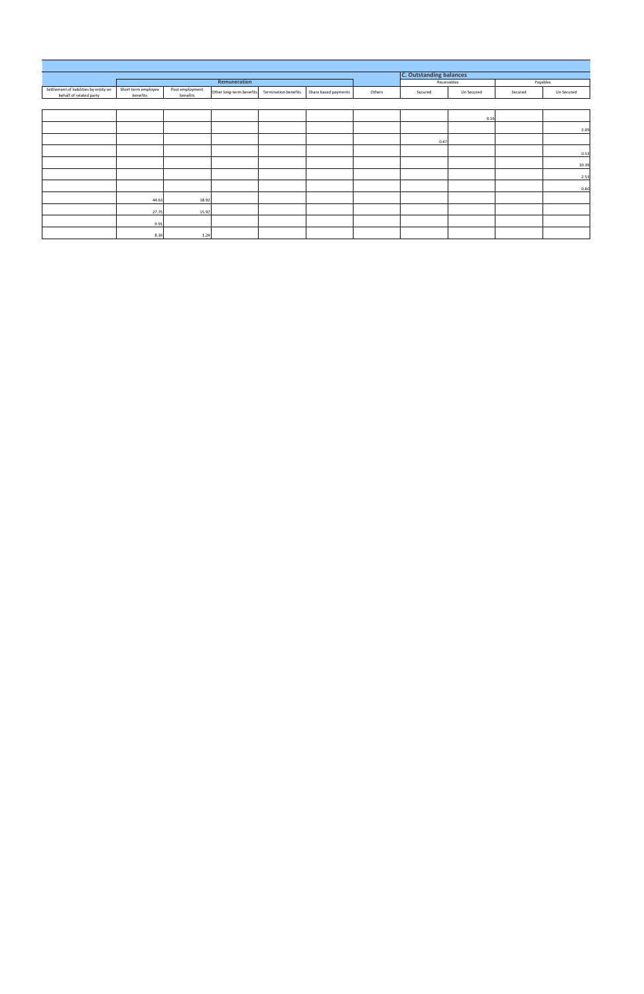|                                                                   |                                 |                             |                          |                             |                      |        | <b>C. Outstanding balances</b> |             |         |            |
|-------------------------------------------------------------------|---------------------------------|-----------------------------|--------------------------|-----------------------------|----------------------|--------|--------------------------------|-------------|---------|------------|
|                                                                   |                                 |                             | Remuneration             |                             |                      |        |                                | Receivables |         | Payables   |
| Settlement of liabilities by entity on<br>behalf of related party | Short term employee<br>benefits | Post employment<br>benefits | Other long-term benefits | <b>Termination benefits</b> | Share based payments | Others | Secured                        | Un Secured  | Secured | Un Secured |
|                                                                   |                                 |                             |                          |                             |                      |        |                                |             |         |            |
|                                                                   |                                 |                             |                          |                             |                      |        |                                | 0.16        |         |            |
|                                                                   |                                 |                             |                          |                             |                      |        |                                |             |         | 2.09       |
|                                                                   |                                 |                             |                          |                             |                      |        | 0.47                           |             |         |            |
|                                                                   |                                 |                             |                          |                             |                      |        |                                |             |         | 0.53       |
|                                                                   |                                 |                             |                          |                             |                      |        |                                |             |         | 10.39      |
|                                                                   |                                 |                             |                          |                             |                      |        |                                |             |         | 2.53       |
|                                                                   |                                 |                             |                          |                             |                      |        |                                |             |         | 0.60       |
|                                                                   | 44.63                           | 18.92                       |                          |                             |                      |        |                                |             |         |            |
|                                                                   | 27.75                           | 15.97                       |                          |                             |                      |        |                                |             |         |            |
|                                                                   | 9.91                            |                             |                          |                             |                      |        |                                |             |         |            |
|                                                                   | 8.16                            | 1.24                        |                          |                             |                      |        |                                |             |         |            |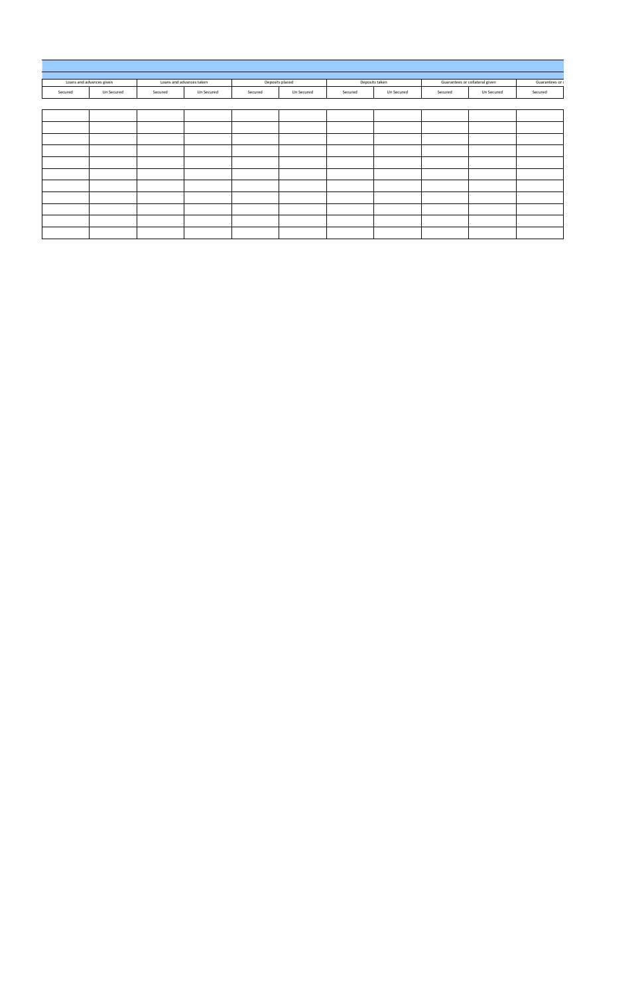|         | Loans and advances given | Loans and advances taken |            |         | Deposits placed |         | Deposits taken |         | Guarantees or collateral given | Guarantees or c |
|---------|--------------------------|--------------------------|------------|---------|-----------------|---------|----------------|---------|--------------------------------|-----------------|
| Secured | Un Secured               | Secured                  | Un Secured | Secured | Un Secured      | Secured | Un Secured     | Secured | Un Secured                     | Secured         |
|         |                          |                          |            |         |                 |         |                |         |                                |                 |
|         |                          |                          |            |         |                 |         |                |         |                                |                 |
|         |                          |                          |            |         |                 |         |                |         |                                |                 |
|         |                          |                          |            |         |                 |         |                |         |                                |                 |
|         |                          |                          |            |         |                 |         |                |         |                                |                 |
|         |                          |                          |            |         |                 |         |                |         |                                |                 |
|         |                          |                          |            |         |                 |         |                |         |                                |                 |
|         |                          |                          |            |         |                 |         |                |         |                                |                 |
|         |                          |                          |            |         |                 |         |                |         |                                |                 |
|         |                          |                          |            |         |                 |         |                |         |                                |                 |
|         |                          |                          |            |         |                 |         |                |         |                                |                 |
|         |                          |                          |            |         |                 |         |                |         |                                |                 |
|         |                          |                          |            |         |                 |         |                |         |                                |                 |